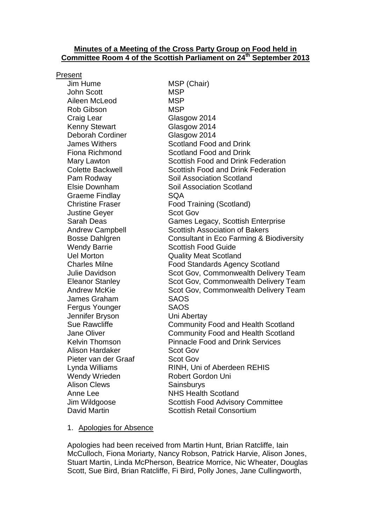### **Minutes of a Meeting of the Cross Party Group on Food held in Committee Room 4 of the Scottish Parliament on 24th September 2013**

#### Present

Jim Hume MSP (Chair) John Scott MSP Aileen McLeod MSP Rob Gibson MSP Craig Lear Glasgow 2014 Kenny Stewart Glasgow 2014 Deborah Cordiner Glasgow 2014 Graeme Findlay **SQA** Justine Gever Scot Gov James Graham SAOS Fergus Younger SAOS Jennifer Bryson Uni Abertay Alison Hardaker Scot Gov Pieter van der Graaf Scot Gov Wendy Wrieden **Robert Gordon Uni** Alison Clews Sainsburys

James Withers Scotland Food and Drink Fiona Richmond Scotland Food and Drink Mary Lawton Scottish Food and Drink Federation Colette Backwell Scottish Food and Drink Federation Pam Rodway Soil Association Scotland Elsie Downham Soil Association Scotland Christine Fraser Food Training (Scotland) Sarah Deas Games Legacy, Scottish Enterprise Andrew Campbell Scottish Association of Bakers Bosse Dahlgren Consultant in Eco Farming & Biodiversity Wendy Barrie **Scottish Food Guide** Uel Morton Quality Meat Scotland Charles Milne Food Standards Agency Scotland Julie Davidson Scot Gov, Commonwealth Delivery Team Eleanor Stanley Scot Gov, Commonwealth Delivery Team Andrew McKie Scot Gov, Commonwealth Delivery Team Sue Rawcliffe **Community Food and Health Scotland** Jane Oliver Community Food and Health Scotland Kelvin Thomson **Pinnacle Food and Drink Services** Lynda Williams **RINH**, Uni of Aberdeen REHIS Anne Lee NHS Health Scotland Jim Wildgoose Scottish Food Advisory Committee David Martin **National Scottish Retail Consortium** 

#### 1. Apologies for Absence

Apologies had been received from Martin Hunt, Brian Ratcliffe, Iain McCulloch, Fiona Moriarty, Nancy Robson, Patrick Harvie, Alison Jones, Stuart Martin, Linda McPherson, Beatrice Morrice, Nic Wheater, Douglas Scott, Sue Bird, Brian Ratcliffe, Fi Bird, Polly Jones, Jane Cullingworth,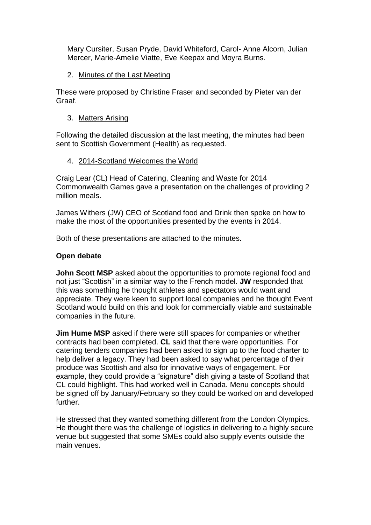Mary Cursiter, Susan Pryde, David Whiteford, Carol- Anne Alcorn, Julian Mercer, Marie-Amelie Viatte, Eve Keepax and Moyra Burns.

2. Minutes of the Last Meeting

These were proposed by Christine Fraser and seconded by Pieter van der Graaf.

3. Matters Arising

Following the detailed discussion at the last meeting, the minutes had been sent to Scottish Government (Health) as requested.

## 4. 2014-Scotland Welcomes the World

Craig Lear (CL) Head of Catering, Cleaning and Waste for 2014 Commonwealth Games gave a presentation on the challenges of providing 2 million meals.

James Withers (JW) CEO of Scotland food and Drink then spoke on how to make the most of the opportunities presented by the events in 2014.

Both of these presentations are attached to the minutes.

## **Open debate**

**John Scott MSP** asked about the opportunities to promote regional food and not just "Scottish" in a similar way to the French model. **JW** responded that this was something he thought athletes and spectators would want and appreciate. They were keen to support local companies and he thought Event Scotland would build on this and look for commercially viable and sustainable companies in the future.

**Jim Hume MSP** asked if there were still spaces for companies or whether contracts had been completed. **CL** said that there were opportunities. For catering tenders companies had been asked to sign up to the food charter to help deliver a legacy. They had been asked to say what percentage of their produce was Scottish and also for innovative ways of engagement. For example, they could provide a "signature" dish giving a taste of Scotland that CL could highlight. This had worked well in Canada. Menu concepts should be signed off by January/February so they could be worked on and developed further.

He stressed that they wanted something different from the London Olympics. He thought there was the challenge of logistics in delivering to a highly secure venue but suggested that some SMEs could also supply events outside the main venues.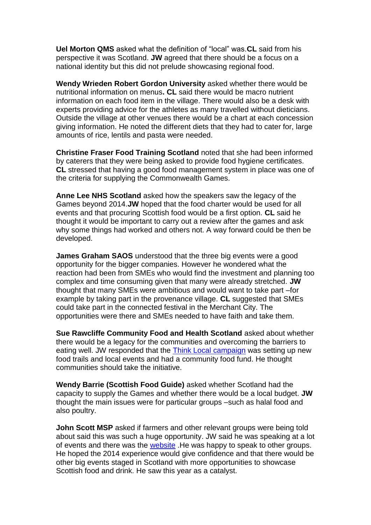**Uel Morton QMS** asked what the definition of "local" was.**CL** said from his perspective it was Scotland. **JW** agreed that there should be a focus on a national identity but this did not prelude showcasing regional food.

**Wendy Wrieden Robert Gordon University** asked whether there would be nutritional information on menus**. CL** said there would be macro nutrient information on each food item in the village. There would also be a desk with experts providing advice for the athletes as many travelled without dieticians. Outside the village at other venues there would be a chart at each concession giving information. He noted the different diets that they had to cater for, large amounts of rice, lentils and pasta were needed.

**Christine Fraser Food Training Scotland** noted that she had been informed by caterers that they were being asked to provide food hygiene certificates. **CL** stressed that having a good food management system in place was one of the criteria for supplying the Commonwealth Games.

**Anne Lee NHS Scotland** asked how the speakers saw the legacy of the Games beyond 2014.**JW** hoped that the food charter would be used for all events and that procuring Scottish food would be a first option. **CL** said he thought it would be important to carry out a review after the games and ask why some things had worked and others not. A way forward could be then be developed.

**James Graham SAOS** understood that the three big events were a good opportunity for the bigger companies. However he wondered what the reaction had been from SMEs who would find the investment and planning too complex and time consuming given that many were already stretched. **JW** thought that many SMEs were ambitious and would want to take part –for example by taking part in the provenance village. **CL** suggested that SMEs could take part in the connected festival in the Merchant City. The opportunities were there and SMEs needed to have faith and take them.

**Sue Rawcliffe Community Food and Health Scotland** asked about whether there would be a legacy for the communities and overcoming the barriers to eating well. JW responded that the [Think Local campaign](http://www.thinklocalscotland.co.uk/) was setting up new food trails and local events and had a community food fund. He thought communities should take the initiative.

**Wendy Barrie (Scottish Food Guide)** asked whether Scotland had the capacity to supply the Games and whether there would be a local budget. **JW**  thought the main issues were for particular groups –such as halal food and also poultry.

**John Scott MSP** asked if farmers and other relevant groups were being told about said this was such a huge opportunity. JW said he was speaking at a lot of events and there was the [website](http://www.scotlandfoodanddrink.org/2014-food-drink.aspx). He was happy to speak to other groups. He hoped the 2014 experience would give confidence and that there would be other big events staged in Scotland with more opportunities to showcase Scottish food and drink. He saw this year as a catalyst.